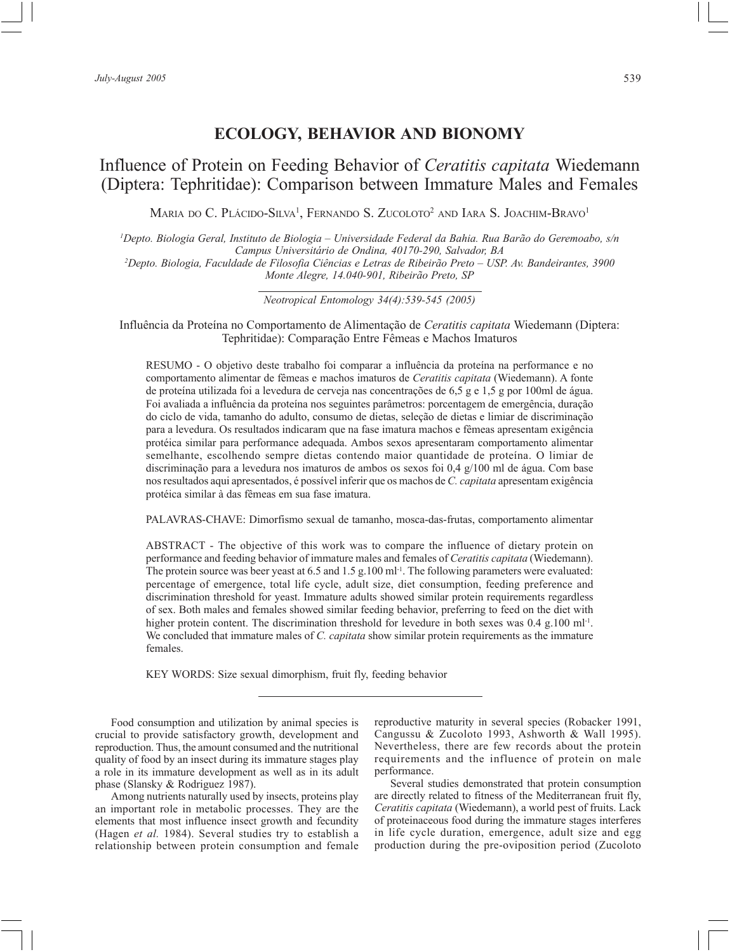# **ECOLOGY, BEHAVIOR AND BIONOMY**

# Influence of Protein on Feeding Behavior of *Ceratitis capitata* Wiedemann (Diptera: Tephritidae): Comparison between Immature Males and Females

Maria do C. Plácido-Silva<sup>1</sup>, Fernando S. Zucoloto<sup>2</sup> and Iara S. Joachim-Bravo<sup>1</sup>

*1 Depto. Biologia Geral, Instituto de Biologia – Universidade Federal da Bahia. Rua Barão do Geremoabo, s/n Campus Universitário de Ondina, 40170-290, Salvador, BA*

*2 Depto. Biologia, Faculdade de Filosofia Ciências e Letras de Ribeirão Preto – USP. Av. Bandeirantes, 3900 Monte Alegre, 14.040-901, Ribeirão Preto, SP*

*Neotropical Entomology 34(4):539-545 (2005)*

Influência da Proteína no Comportamento de Alimentação de *Ceratitis capitata* Wiedemann (Diptera: Tephritidae): Comparação Entre Fêmeas e Machos Imaturos

RESUMO - O objetivo deste trabalho foi comparar a influência da proteína na performance e no comportamento alimentar de fêmeas e machos imaturos de *Ceratitis capitata* (Wiedemann). A fonte de proteína utilizada foi a levedura de cerveja nas concentrações de 6,5 g e 1,5 g por 100ml de água. Foi avaliada a influência da proteína nos seguintes parâmetros: porcentagem de emergência, duração do ciclo de vida, tamanho do adulto, consumo de dietas, seleção de dietas e limiar de discriminação para a levedura. Os resultados indicaram que na fase imatura machos e fêmeas apresentam exigência protéica similar para performance adequada. Ambos sexos apresentaram comportamento alimentar semelhante, escolhendo sempre dietas contendo maior quantidade de proteína. O limiar de discriminação para a levedura nos imaturos de ambos os sexos foi 0,4 g/100 ml de água. Com base nos resultados aqui apresentados, é possível inferir que os machos de *C. capitata* apresentam exigência protéica similar à das fêmeas em sua fase imatura.

PALAVRAS-CHAVE: Dimorfismo sexual de tamanho, mosca-das-frutas, comportamento alimentar

ABSTRACT - The objective of this work was to compare the influence of dietary protein on performance and feeding behavior of immature males and females of *Ceratitis capitata* (Wiedemann). The protein source was beer yeast at 6.5 and 1.5 g.100 ml<sup>-1</sup>. The following parameters were evaluated: percentage of emergence, total life cycle, adult size, diet consumption, feeding preference and discrimination threshold for yeast. Immature adults showed similar protein requirements regardless of sex. Both males and females showed similar feeding behavior, preferring to feed on the diet with higher protein content. The discrimination threshold for levedure in both sexes was 0.4 g.100 ml<sup>-1</sup>. We concluded that immature males of *C. capitata* show similar protein requirements as the immature females.

KEY WORDS: Size sexual dimorphism, fruit fly, feeding behavior

Food consumption and utilization by animal species is crucial to provide satisfactory growth, development and reproduction. Thus, the amount consumed and the nutritional quality of food by an insect during its immature stages play a role in its immature development as well as in its adult phase (Slansky & Rodriguez 1987).

Among nutrients naturally used by insects, proteins play an important role in metabolic processes. They are the elements that most influence insect growth and fecundity (Hagen *et al.* 1984). Several studies try to establish a relationship between protein consumption and female reproductive maturity in several species (Robacker 1991, Cangussu & Zucoloto 1993, Ashworth & Wall 1995). Nevertheless, there are few records about the protein requirements and the influence of protein on male performance.

Several studies demonstrated that protein consumption are directly related to fitness of the Mediterranean fruit fly, *Ceratitis capitata* (Wiedemann), a world pest of fruits. Lack of proteinaceous food during the immature stages interferes in life cycle duration, emergence, adult size and egg production during the pre-oviposition period (Zucoloto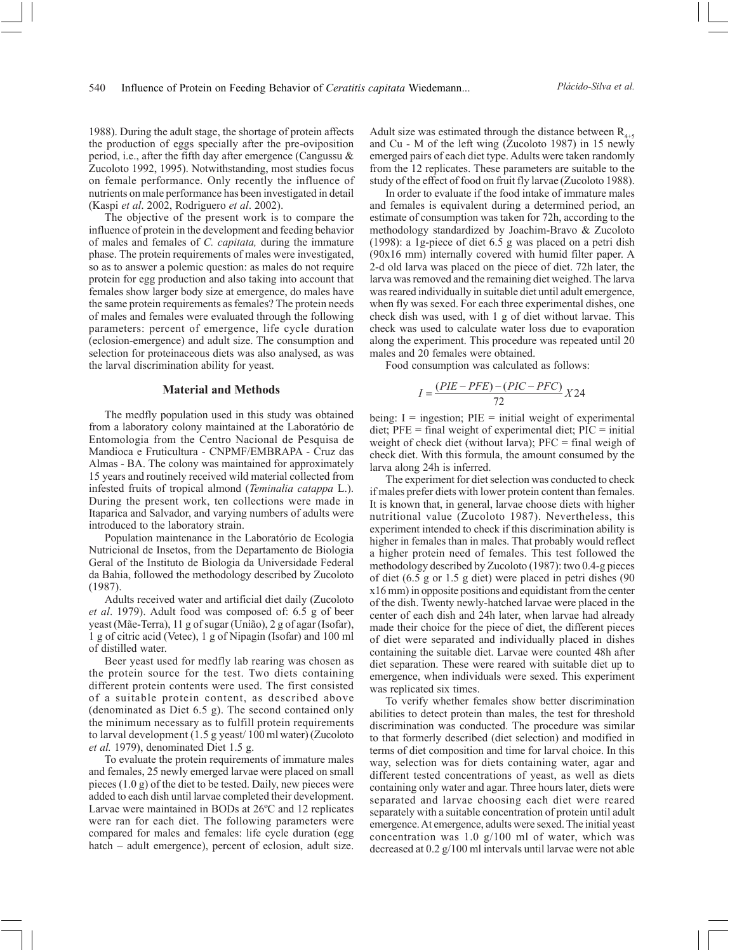1988). During the adult stage, the shortage of protein affects the production of eggs specially after the pre-oviposition period, i.e., after the fifth day after emergence (Cangussu & Zucoloto 1992, 1995). Notwithstanding, most studies focus on female performance. Only recently the influence of nutrients on male performance has been investigated in detail (Kaspi *et al*. 2002, Rodriguero *et al*. 2002).

The objective of the present work is to compare the influence of protein in the development and feeding behavior of males and females of *C. capitata,* during the immature phase. The protein requirements of males were investigated, so as to answer a polemic question: as males do not require protein for egg production and also taking into account that females show larger body size at emergence, do males have the same protein requirements as females? The protein needs of males and females were evaluated through the following parameters: percent of emergence, life cycle duration (eclosion-emergence) and adult size. The consumption and selection for proteinaceous diets was also analysed, as was the larval discrimination ability for yeast.

### **Material and Methods**

The medfly population used in this study was obtained from a laboratory colony maintained at the Laboratório de Entomologia from the Centro Nacional de Pesquisa de Mandioca e Fruticultura - CNPMF/EMBRAPA - Cruz das Almas - BA. The colony was maintained for approximately 15 years and routinely received wild material collected from infested fruits of tropical almond (*Teminalia catappa* L.). During the present work, ten collections were made in Itaparica and Salvador, and varying numbers of adults were introduced to the laboratory strain.

Population maintenance in the Laboratório de Ecologia Nutricional de Insetos, from the Departamento de Biologia Geral of the Instituto de Biologia da Universidade Federal da Bahia, followed the methodology described by Zucoloto (1987).

Adults received water and artificial diet daily (Zucoloto *et al*. 1979). Adult food was composed of: 6.5 g of beer yeast (Mãe-Terra), 11 g of sugar (União), 2 g of agar (Isofar), 1 g of citric acid (Vetec), 1 g of Nipagin (Isofar) and 100 ml of distilled water.

Beer yeast used for medfly lab rearing was chosen as the protein source for the test. Two diets containing different protein contents were used. The first consisted of a suitable protein content, as described above (denominated as Diet 6.5 g). The second contained only the minimum necessary as to fulfill protein requirements to larval development (1.5 g yeast/ 100 ml water) (Zucoloto *et al.* 1979), denominated Diet 1.5 g.

To evaluate the protein requirements of immature males and females, 25 newly emerged larvae were placed on small pieces (1.0 g) of the diet to be tested. Daily, new pieces were added to each dish until larvae completed their development. Larvae were maintained in BODs at 26ºC and 12 replicates were ran for each diet. The following parameters were compared for males and females: life cycle duration (egg hatch – adult emergence), percent of eclosion, adult size.

Adult size was estimated through the distance between  $R_{4+5}$ and Cu - M of the left wing (Zucoloto 1987) in 15 newly emerged pairs of each diet type. Adults were taken randomly from the 12 replicates. These parameters are suitable to the study of the effect of food on fruit fly larvae (Zucoloto 1988).

In order to evaluate if the food intake of immature males and females is equivalent during a determined period, an estimate of consumption was taken for 72h, according to the methodology standardized by Joachim-Bravo & Zucoloto (1998): a 1g-piece of diet 6.5 g was placed on a petri dish (90x16 mm) internally covered with humid filter paper. A 2-d old larva was placed on the piece of diet. 72h later, the larva was removed and the remaining diet weighed. The larva was reared individually in suitable diet until adult emergence, when fly was sexed. For each three experimental dishes, one check dish was used, with 1 g of diet without larvae. This check was used to calculate water loss due to evaporation along the experiment. This procedure was repeated until 20 males and 20 females were obtained.

Food consumption was calculated as follows:

$$
I = \frac{(PIE - PFE) - (PIC - PFC)}{72}X24
$$

being:  $I =$  ingestion;  $PIE =$  initial weight of experimental diet;  $PFE = final weight of experimental diet;  $PIC = initial$$ weight of check diet (without larva); PFC = final weigh of check diet. With this formula, the amount consumed by the larva along 24h is inferred.

The experiment for diet selection was conducted to check if males prefer diets with lower protein content than females. It is known that, in general, larvae choose diets with higher nutritional value (Zucoloto 1987). Nevertheless, this experiment intended to check if this discrimination ability is higher in females than in males. That probably would reflect a higher protein need of females. This test followed the methodology described by Zucoloto (1987): two 0.4-g pieces of diet (6.5 g or 1.5 g diet) were placed in petri dishes (90 x16 mm) in opposite positions and equidistant from the center of the dish. Twenty newly-hatched larvae were placed in the center of each dish and 24h later, when larvae had already made their choice for the piece of diet, the different pieces of diet were separated and individually placed in dishes containing the suitable diet. Larvae were counted 48h after diet separation. These were reared with suitable diet up to emergence, when individuals were sexed. This experiment was replicated six times.

To verify whether females show better discrimination abilities to detect protein than males, the test for threshold discrimination was conducted. The procedure was similar to that formerly described (diet selection) and modified in terms of diet composition and time for larval choice. In this way, selection was for diets containing water, agar and different tested concentrations of yeast, as well as diets containing only water and agar. Three hours later, diets were separated and larvae choosing each diet were reared separately with a suitable concentration of protein until adult emergence. At emergence, adults were sexed. The initial yeast concentration was 1.0 g/100 ml of water, which was decreased at 0.2 g/100 ml intervals until larvae were not able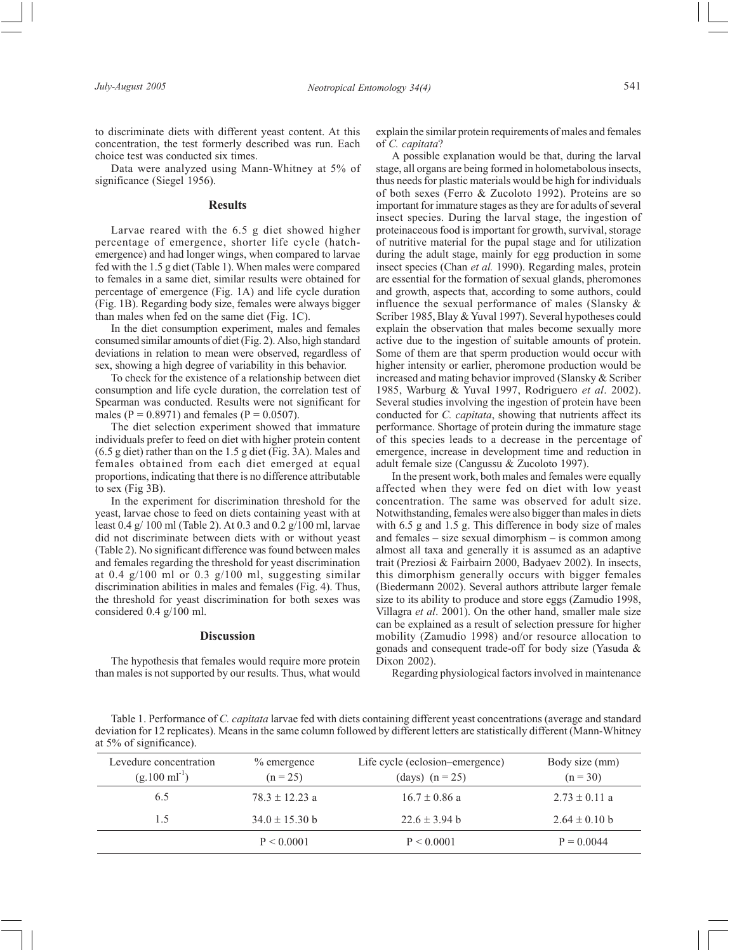to discriminate diets with different yeast content. At this concentration, the test formerly described was run. Each choice test was conducted six times.

Data were analyzed using Mann-Whitney at 5% of significance (Siegel 1956).

#### **Results**

Larvae reared with the 6.5 g diet showed higher percentage of emergence, shorter life cycle (hatchemergence) and had longer wings, when compared to larvae fed with the 1.5 g diet (Table 1). When males were compared to females in a same diet, similar results were obtained for percentage of emergence (Fig. 1A) and life cycle duration (Fig. 1B). Regarding body size, females were always bigger than males when fed on the same diet (Fig. 1C).

In the diet consumption experiment, males and females consumed similar amounts of diet (Fig. 2). Also, high standard deviations in relation to mean were observed, regardless of sex, showing a high degree of variability in this behavior.

To check for the existence of a relationship between diet consumption and life cycle duration, the correlation test of Spearman was conducted. Results were not significant for males ( $P = 0.8971$ ) and females ( $P = 0.0507$ ).

The diet selection experiment showed that immature individuals prefer to feed on diet with higher protein content (6.5 g diet) rather than on the 1.5 g diet (Fig. 3A). Males and females obtained from each diet emerged at equal proportions, indicating that there is no difference attributable to sex (Fig 3B).

In the experiment for discrimination threshold for the yeast, larvae chose to feed on diets containing yeast with at least 0.4 g/ 100 ml (Table 2). At 0.3 and 0.2 g/100 ml, larvae did not discriminate between diets with or without yeast (Table 2). No significant difference was found between males and females regarding the threshold for yeast discrimination at 0.4 g/100 ml or 0.3 g/100 ml, suggesting similar discrimination abilities in males and females (Fig. 4). Thus, the threshold for yeast discrimination for both sexes was considered 0.4 g/100 ml.

#### **Discussion**

The hypothesis that females would require more protein than males is not supported by our results. Thus, what would explain the similar protein requirements of males and females of *C. capitata*?

A possible explanation would be that, during the larval stage, all organs are being formed in holometabolous insects, thus needs for plastic materials would be high for individuals of both sexes (Ferro & Zucoloto 1992). Proteins are so important for immature stages as they are for adults of several insect species. During the larval stage, the ingestion of proteinaceous food is important for growth, survival, storage of nutritive material for the pupal stage and for utilization during the adult stage, mainly for egg production in some insect species (Chan *et al.* 1990). Regarding males, protein are essential for the formation of sexual glands, pheromones and growth, aspects that, according to some authors, could influence the sexual performance of males (Slansky & Scriber 1985, Blay & Yuval 1997). Several hypotheses could explain the observation that males become sexually more active due to the ingestion of suitable amounts of protein. Some of them are that sperm production would occur with higher intensity or earlier, pheromone production would be increased and mating behavior improved (Slansky & Scriber 1985, Warburg & Yuval 1997, Rodriguero *et al*. 2002). Several studies involving the ingestion of protein have been conducted for *C. capitata*, showing that nutrients affect its performance. Shortage of protein during the immature stage of this species leads to a decrease in the percentage of emergence, increase in development time and reduction in adult female size (Cangussu & Zucoloto 1997).

In the present work, both males and females were equally affected when they were fed on diet with low yeast concentration. The same was observed for adult size. Notwithstanding, females were also bigger than males in diets with 6.5 g and 1.5 g. This difference in body size of males and females – size sexual dimorphism – is common among almost all taxa and generally it is assumed as an adaptive trait (Preziosi & Fairbairn 2000, Badyaev 2002). In insects, this dimorphism generally occurs with bigger females (Biedermann 2002). Several authors attribute larger female size to its ability to produce and store eggs (Zamudio 1998, Villagra *et al*. 2001). On the other hand, smaller male size can be explained as a result of selection pressure for higher mobility (Zamudio 1998) and/or resource allocation to gonads and consequent trade-off for body size (Yasuda & Dixon 2002).

Regarding physiological factors involved in maintenance

Table 1. Performance of *C. capitata* larvae fed with diets containing different yeast concentrations (average and standard deviation for 12 replicates). Means in the same column followed by different letters are statistically different (Mann-Whitney at 5% of significance).

| Levedure concentration    | $\%$ emergence     | Life cycle (eclosion–emergence) | Body size (mm)    |
|---------------------------|--------------------|---------------------------------|-------------------|
| $(g.100 \text{ ml}^{-1})$ | $(n = 25)$         | (days) $(n = 25)$               | $(n = 30)$        |
| 6.5                       | $78.3 \pm 12.23$ a | $16.7 \pm 0.86$ a               | $2.73 \pm 0.11$ a |
| 1.5                       | $34.0 \pm 15.30$ b | $22.6 \pm 3.94$ b               | $2.64 \pm 0.10$ b |
|                           | P < 0.0001         | P < 0.0001                      | $P = 0.0044$      |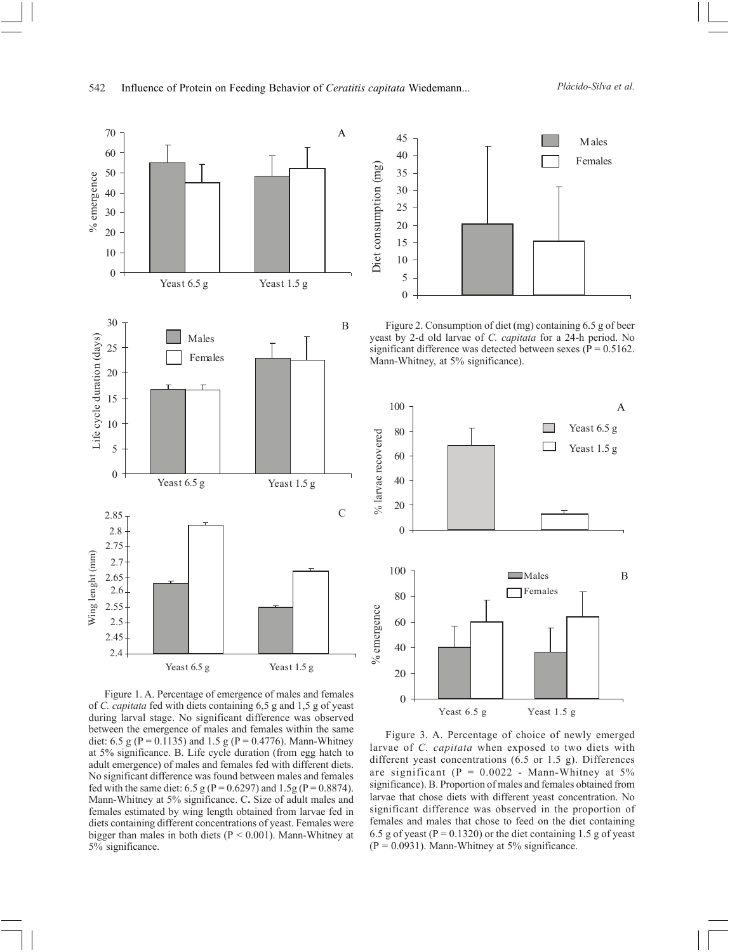

Figure 1. A. Percentage of emergence of males and females of *C. capitata* fed with diets containing 6,5 g and 1,5 g of yeast during larval stage. No significant difference was observed between the emergence of males and females within the same diet: 6.5 g (P = 0.1135) and 1.5 g (P = 0.4776). Mann-Whitney at 5% significance. B. Life cycle duration (from egg hatch to adult emergence) of males and females fed with different diets. No significant difference was found between males and females fed with the same diet: 6.5 g (P = 0.6297) and 1.5g (P = 0.8874). Mann-Whitney at 5% significance. C**.** Size of adult males and females estimated by wing length obtained from larvae fed in diets containing different concentrations of yeast. Females were bigger than males in both diets ( $P < 0.001$ ). Mann-Whitney at 5% significance.



Figure 2. Consumption of diet (mg) containing 6.5 g of beer yeast by 2-d old larvae of *C. capitata* for a 24-h period. No significant difference was detected between sexes ( $\overline{P} = 0.5162$ . Mann-Whitney, at 5% significance).



Figure 3. A. Percentage of choice of newly emerged larvae of *C. capitata* when exposed to two diets with different yeast concentrations (6.5 or 1.5 g). Differences are significant ( $P = 0.0022$  - Mann-Whitney at 5% significance). B. Proportion of males and females obtained from larvae that chose diets with different yeast concentration. No significant difference was observed in the proportion of females and males that chose to feed on the diet containing 6.5 g of yeast ( $P = 0.1320$ ) or the diet containing 1.5 g of yeast  $(P = 0.0931)$ . Mann-Whitney at 5% significance.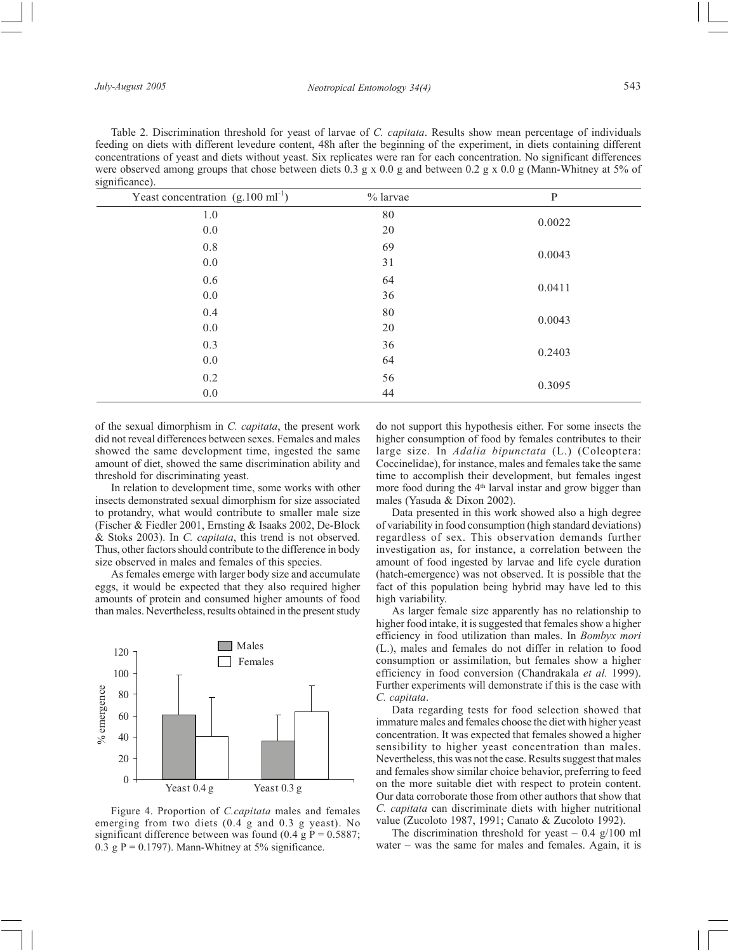Table 2. Discrimination threshold for yeast of larvae of *C. capitata*. Results show mean percentage of individuals feeding on diets with different levedure content, 48h after the beginning of the experiment, in diets containing different concentrations of yeast and diets without yeast. Six replicates were ran for each concentration. No significant differences were observed among groups that chose between diets 0.3 g x 0.0 g and between 0.2 g x 0.0 g (Mann-Whitney at 5% of significance).

| Yeast concentration $(g.100 \text{ ml}^{-1})$ | % larvae | $\mathbf{P}$ |  |
|-----------------------------------------------|----------|--------------|--|
| 1.0                                           | 80       | 0.0022       |  |
| 0.0                                           | 20       |              |  |
| $0.8\,$                                       | 69       | 0.0043       |  |
| 0.0                                           | 31       |              |  |
| 0.6                                           | 64       | 0.0411       |  |
| 0.0                                           | 36       |              |  |
| 0.4                                           | 80       | 0.0043       |  |
| 0.0                                           | 20       |              |  |
| 0.3                                           | 36       | 0.2403       |  |
| $0.0\,$                                       | 64       |              |  |
| 0.2                                           | 56       | 0.3095       |  |
| $0.0\,$                                       | 44       |              |  |

of the sexual dimorphism in *C. capitata*, the present work did not reveal differences between sexes. Females and males showed the same development time, ingested the same amount of diet, showed the same discrimination ability and threshold for discriminating yeast.

In relation to development time, some works with other insects demonstrated sexual dimorphism for size associated to protandry, what would contribute to smaller male size (Fischer & Fiedler 2001, Ernsting & Isaaks 2002, De-Block & Stoks 2003). In *C. capitata*, this trend is not observed. Thus, other factors should contribute to the difference in body size observed in males and females of this species.

As females emerge with larger body size and accumulate eggs, it would be expected that they also required higher amounts of protein and consumed higher amounts of food than males. Nevertheless, results obtained in the present study



Figure 4. Proportion of *C.capitata* males and females emerging from two diets (0.4 g and 0.3 g yeast). No significant difference between was found (0.4 g P =  $0.5887$ ; 0.3 g P = 0.1797). Mann-Whitney at  $5\%$  significance.

do not support this hypothesis either. For some insects the higher consumption of food by females contributes to their large size. In *Adalia bipunctata* (L.) (Coleoptera: Coccinelidae), for instance, males and females take the same time to accomplish their development, but females ingest more food during the  $4<sup>th</sup>$  larval instar and grow bigger than males (Yasuda & Dixon 2002).

Data presented in this work showed also a high degree of variability in food consumption (high standard deviations) regardless of sex. This observation demands further investigation as, for instance, a correlation between the amount of food ingested by larvae and life cycle duration (hatch-emergence) was not observed. It is possible that the fact of this population being hybrid may have led to this high variability.

As larger female size apparently has no relationship to higher food intake, it is suggested that females show a higher efficiency in food utilization than males. In *Bombyx mori* (L.), males and females do not differ in relation to food consumption or assimilation, but females show a higher efficiency in food conversion (Chandrakala *et al.* 1999). Further experiments will demonstrate if this is the case with *C. capitata*.

Data regarding tests for food selection showed that immature males and females choose the diet with higher yeast concentration. It was expected that females showed a higher sensibility to higher yeast concentration than males. Nevertheless, this was not the case. Results suggest that males and females show similar choice behavior, preferring to feed on the more suitable diet with respect to protein content. Our data corroborate those from other authors that show that *C. capitata* can discriminate diets with higher nutritional value (Zucoloto 1987, 1991; Canato & Zucoloto 1992).

The discrimination threshold for yeast  $-0.4$  g/100 ml water – was the same for males and females. Again, it is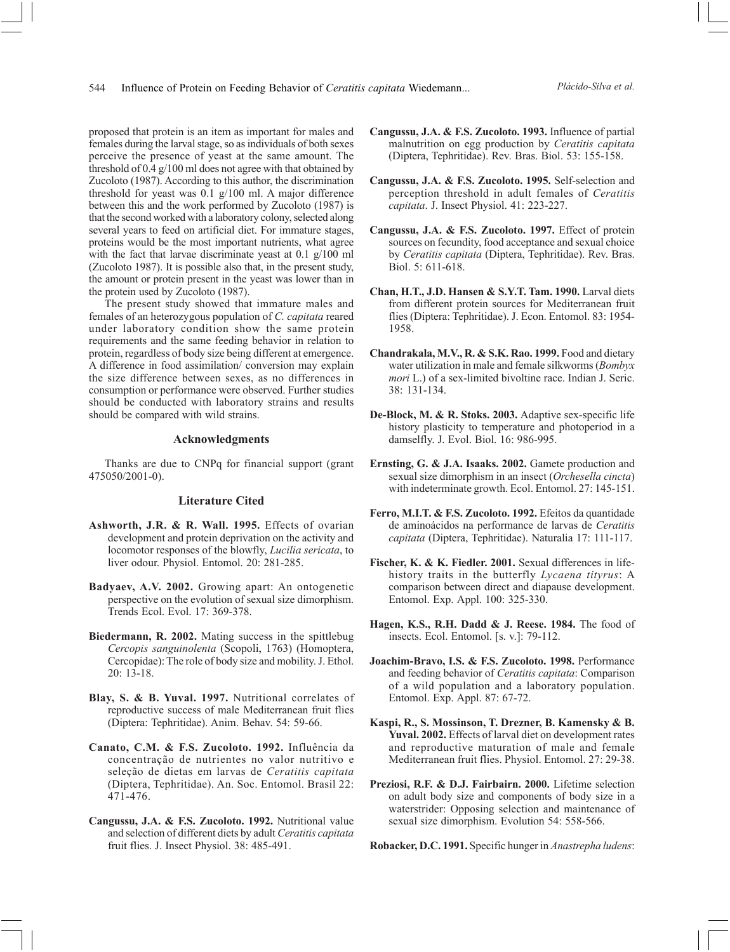proposed that protein is an item as important for males and females during the larval stage, so as individuals of both sexes perceive the presence of yeast at the same amount. The threshold of 0.4 g/100 ml does not agree with that obtained by Zucoloto (1987). According to this author, the discrimination threshold for yeast was 0.1 g/100 ml. A major difference between this and the work performed by Zucoloto (1987) is that the second worked with a laboratory colony, selected along several years to feed on artificial diet. For immature stages, proteins would be the most important nutrients, what agree with the fact that larvae discriminate yeast at 0.1 g/100 ml (Zucoloto 1987). It is possible also that, in the present study, the amount or protein present in the yeast was lower than in the protein used by Zucoloto (1987).

The present study showed that immature males and females of an heterozygous population of *C. capitata* reared under laboratory condition show the same protein requirements and the same feeding behavior in relation to protein, regardless of body size being different at emergence. A difference in food assimilation/ conversion may explain the size difference between sexes, as no differences in consumption or performance were observed. Further studies should be conducted with laboratory strains and results should be compared with wild strains.

### **Acknowledgments**

Thanks are due to CNPq for financial support (grant 475050/2001-0).

## **Literature Cited**

- **Ashworth, J.R. & R. Wall. 1995.** Effects of ovarian development and protein deprivation on the activity and locomotor responses of the blowfly, *Lucilia sericata*, to liver odour. Physiol. Entomol. 20: 281-285.
- **Badyaev, A.V. 2002.** Growing apart: An ontogenetic perspective on the evolution of sexual size dimorphism. Trends Ecol. Evol. 17: 369-378.
- **Biedermann, R. 2002.** Mating success in the spittlebug *Cercopis sanguinolenta* (Scopoli, 1763) (Homoptera, Cercopidae): The role of body size and mobility. J. Ethol. 20: 13-18.
- **Blay, S. & B. Yuval. 1997.** Nutritional correlates of reproductive success of male Mediterranean fruit flies (Diptera: Tephritidae). Anim. Behav. 54: 59-66.
- **Canato, C.M. & F.S. Zucoloto. 1992.** Influência da concentração de nutrientes no valor nutritivo e seleção de dietas em larvas de *Ceratitis capitata* (Diptera, Tephritidae). An. Soc. Entomol. Brasil 22: 471-476.
- **Cangussu, J.A. & F.S. Zucoloto. 1992.** Nutritional value and selection of different diets by adult *Ceratitis capitata* fruit flies. J. Insect Physiol. 38: 485-491.
- **Cangussu, J.A. & F.S. Zucoloto. 1993.** Influence of partial malnutrition on egg production by *Ceratitis capitata* (Diptera, Tephritidae). Rev. Bras. Biol. 53: 155-158.
- **Cangussu, J.A. & F.S. Zucoloto. 1995.** Self-selection and perception threshold in adult females of *Ceratitis capitata*. J. Insect Physiol. 41: 223-227.
- **Cangussu, J.A. & F.S. Zucoloto. 1997.** Effect of protein sources on fecundity, food acceptance and sexual choice by *Ceratitis capitata* (Diptera, Tephritidae). Rev. Bras. Biol. 5: 611-618.
- **Chan, H.T., J.D. Hansen & S.Y.T. Tam. 1990.** Larval diets from different protein sources for Mediterranean fruit flies (Diptera: Tephritidae). J. Econ. Entomol. 83: 1954- 1958.
- **Chandrakala, M.V., R. & S.K. Rao. 1999.** Food and dietary water utilization in male and female silkworms (*Bombyx mori* L.) of a sex-limited bivoltine race. Indian J. Seric. 38: 131-134.
- **De-Block, M. & R. Stoks. 2003.** Adaptive sex-specific life history plasticity to temperature and photoperiod in a damselfly. J. Evol. Biol. 16: 986-995.
- **Ernsting, G. & J.A. Isaaks. 2002.** Gamete production and sexual size dimorphism in an insect (*Orchesella cincta*) with indeterminate growth. Ecol. Entomol. 27: 145-151.
- **Ferro, M.I.T. & F.S. Zucoloto. 1992.** Efeitos da quantidade de aminoácidos na performance de larvas de *Ceratitis capitata* (Diptera, Tephritidae). Naturalia 17: 111-117.
- **Fischer, K. & K. Fiedler. 2001.** Sexual differences in lifehistory traits in the butterfly *Lycaena tityrus*: A comparison between direct and diapause development. Entomol. Exp. Appl. 100: 325-330.
- **Hagen, K.S., R.H. Dadd & J. Reese. 1984.** The food of insects. Ecol. Entomol. [s. v.]: 79-112.
- **Joachim-Bravo, I.S. & F.S. Zucoloto. 1998.** Performance and feeding behavior of *Ceratitis capitata*: Comparison of a wild population and a laboratory population. Entomol. Exp. Appl. 87: 67-72.
- **Kaspi, R., S. Mossinson, T. Drezner, B. Kamensky & B. Yuval. 2002.** Effects of larval diet on development rates and reproductive maturation of male and female Mediterranean fruit flies. Physiol. Entomol. 27: 29-38.
- **Preziosi, R.F. & D.J. Fairbairn. 2000.** Lifetime selection on adult body size and components of body size in a waterstrider: Opposing selection and maintenance of sexual size dimorphism. Evolution 54: 558-566.

**Robacker, D.C. 1991.** Specific hunger in *Anastrepha ludens*: